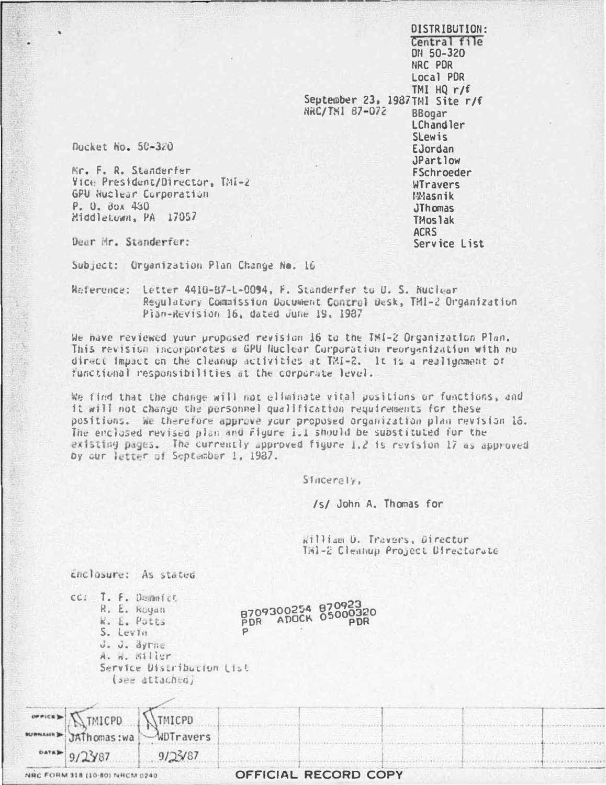**DISTRIBUTION:** Central file DN 50-320 NRC PDR Local PDR TMI  $H0 r/f$ September 23, 1987TMI Site r/f NRC/THI 87-072 **BBogar LChandler SLewis** EJordan JPartlow **FSchroeder** WTravers **Masnik JThomas TMoslak ACRS** Service List

Ducket No. 50-320

Nr. F. R. Standerfer Vice President/Director, TMI-2 GPU Nuclear Corporation P. O. BOX 450 Middletown, PA 17057

Dear Mr. Standerfer:

Subject: Organization Plan Change No. 16

Reference: Letter 4410-87-L-0094, F. Standerfer to U. S. Ruclear Regulatory Commission Document Control Desk, TMI-2 Organization Plan-Revision 16, dated June 19. 1987

We have reviewed your proposed revision 16 to the TMI-2 Organization Plan. This revision incorporates a GPU Nuclear Corporation reorganization with no direct impact on the cleanup activities at TMI-2. It is a realignment of functional responsibilities at the corporate level.

We find that the change will not eliminate vital positions or functions, and it will not change the personnel qualification requirements for these positions. We therefore approve your proposed preamization plan revision 16. The enclosed revised plan and figure i.l should be substituted for the existing pages. The currently approved figure 1.2 is revision 17 as approved by our letter of September 1, 1987.

Sincerely,

/s/ John A. Thomas for

william D. Travers, Director Inl-2 Cleanup Project Directorate

Enclosure: As stated

| cc: T. F. Demnitt |  |
|-------------------|--|
| R. E. Koyan       |  |
| W. E. Putts       |  |
| $S.$ Levin        |  |
| J. J. Byrne       |  |
| A. n. Siller      |  |
| Service Distribu  |  |

8709300254 870923 PDR ADOCK 05000320  $\frac{1}{2}$ 

|  |  | A. n. 31 iur              |  |
|--|--|---------------------------|--|
|  |  | Service Distribution List |  |
|  |  | (see attached)            |  |

|                                | WINTER MICHO MINICPO |                      |
|--------------------------------|----------------------|----------------------|
|                                |                      |                      |
| $0.118$ 9/23/87                | 9/25/87              |                      |
| NRC FORM 318 (10-80) NRCM 0240 |                      | OFFICIAL RECORD COPY |